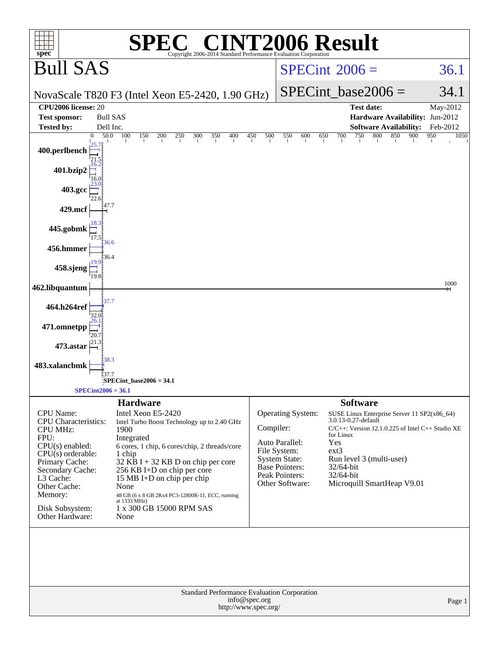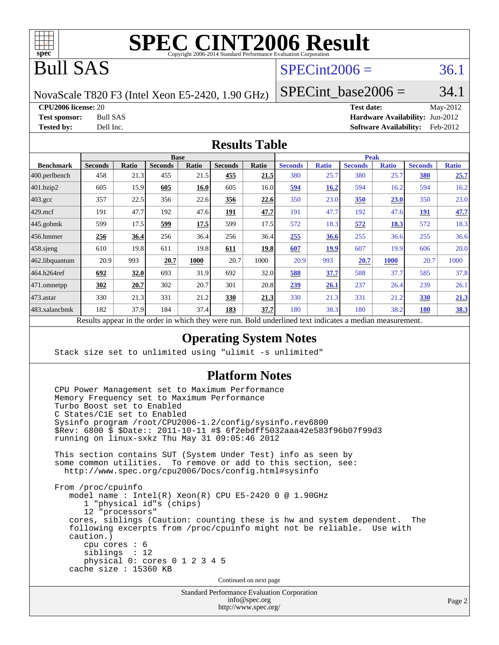

# Bull SAS

### $SPECint2006 = 36.1$  $SPECint2006 = 36.1$

NovaScale T820 F3 (Intel Xeon E5-2420, 1.90 GHz)

SPECint base2006 =  $34.1$ 

**[CPU2006 license:](http://www.spec.org/auto/cpu2006/Docs/result-fields.html#CPU2006license)** 20 **[Test date:](http://www.spec.org/auto/cpu2006/Docs/result-fields.html#Testdate)** May-2012

**[Test sponsor:](http://www.spec.org/auto/cpu2006/Docs/result-fields.html#Testsponsor)** Bull SAS **[Hardware Availability:](http://www.spec.org/auto/cpu2006/Docs/result-fields.html#HardwareAvailability)** Jun-2012 **[Tested by:](http://www.spec.org/auto/cpu2006/Docs/result-fields.html#Testedby)** Dell Inc. **[Software Availability:](http://www.spec.org/auto/cpu2006/Docs/result-fields.html#SoftwareAvailability)** Feb-2012

#### **[Results Table](http://www.spec.org/auto/cpu2006/Docs/result-fields.html#ResultsTable)**

|                    | <b>Base</b>                                                     |       |                |       |                | <b>Peak</b> |                                                   |              |                |              |                |              |
|--------------------|-----------------------------------------------------------------|-------|----------------|-------|----------------|-------------|---------------------------------------------------|--------------|----------------|--------------|----------------|--------------|
| <b>Benchmark</b>   | <b>Seconds</b>                                                  | Ratio | <b>Seconds</b> | Ratio | <b>Seconds</b> | Ratio       | <b>Seconds</b>                                    | <b>Ratio</b> | <b>Seconds</b> | <b>Ratio</b> | <b>Seconds</b> | <b>Ratio</b> |
| $ 400$ .perlbench  | 458                                                             | 21.3  | 455            | 21.5  | 455            | 21.5        | 380                                               | 25.7         | 380            | 25.7         | <b>380</b>     | 25.7         |
| 401.bzip2          | 605                                                             | 15.9  | 605            | 16.0  | 605            | 16.0        | 594                                               | 16.2         | 594            | 16.2         | 594            | 16.2         |
| $403.\mathrm{gcc}$ | 357                                                             | 22.5  | 356            | 22.6  | 356            | 22.6        | 350                                               | 23.0         | 350            | 23.0         | 350            | 23.0         |
| $429$ .mcf         | 191                                                             | 47.7  | 192            | 47.6  | 191            | 47.7        | 191                                               | 47.7         | 192            | 47.6         | 191            | 47.7         |
| $445$ .gobmk       | 599                                                             | 17.5  | 599            | 17.5  | 599            | 17.5        | 572                                               | 18.3         | 572            | 18.3         | 572            | 18.3         |
| 456.hmmer          | 256                                                             | 36.4  | 256            | 36.4  | 256            | 36.4        | 255                                               | 36.6         | 255            | 36.6         | 255            | 36.6         |
| $458$ .sjeng       | 610                                                             | 19.8  | 611            | 19.8  | 611            | 19.8        | 607                                               | <b>19.9</b>  | 607            | 19.9         | 606            | 20.0         |
| 462.libquantum     | 20.9                                                            | 993   | 20.7           | 1000  | 20.7           | 1000        | 20.9                                              | 993          | 20.7           | <b>1000</b>  | 20.7           | 1000         |
| 464.h264ref        | 692                                                             | 32.0  | 693            | 31.9  | 692            | 32.0        | 588                                               | 37.7         | 588            | 37.7         | 585            | 37.8         |
| 471.omnetpp        | 302                                                             | 20.7  | 302            | 20.7  | 301            | 20.8        | 239                                               | 26.1         | 237            | 26.4         | 239            | 26.1         |
| $473$ . astar      | 330                                                             | 21.3  | 331            | 21.2  | 330            | 21.3        | 330                                               | 21.3         | 331            | 21.2         | 330            | 21.3         |
| 483.xalancbmk      | 182                                                             | 37.9  | 184            | 37.4  | 183            | 37.7        | 180                                               | 38.3         | 180            | 38.2         | <b>180</b>     | <u>38.3</u>  |
|                    | Describe announced to the conduction of the theory occupations. |       |                |       |                |             | Deld and called to all the total control a modian |              |                |              |                |              |

Results appear in the [order in which they were run.](http://www.spec.org/auto/cpu2006/Docs/result-fields.html#RunOrder) Bold underlined text [indicates a median measurement.](http://www.spec.org/auto/cpu2006/Docs/result-fields.html#Median)

#### **[Operating System Notes](http://www.spec.org/auto/cpu2006/Docs/result-fields.html#OperatingSystemNotes)**

Stack size set to unlimited using "ulimit -s unlimited"

#### **[Platform Notes](http://www.spec.org/auto/cpu2006/Docs/result-fields.html#PlatformNotes)**

 CPU Power Management set to Maximum Performance Memory Frequency set to Maximum Performance Turbo Boost set to Enabled C States/C1E set to Enabled Sysinfo program /root/CPU2006-1.2/config/sysinfo.rev6800 \$Rev: 6800 \$ \$Date:: 2011-10-11 #\$ 6f2ebdff5032aaa42e583f96b07f99d3 running on linux-sxkz Thu May 31 09:05:46 2012 This section contains SUT (System Under Test) info as seen by some common utilities. To remove or add to this section, see: <http://www.spec.org/cpu2006/Docs/config.html#sysinfo> From /proc/cpuinfo model name : Intel(R) Xeon(R) CPU E5-2420 0 @ 1.90GHz 1 "physical id"s (chips) 12 "processors" cores, siblings (Caution: counting these is hw and system dependent. The following excerpts from /proc/cpuinfo might not be reliable. Use with caution.) cpu cores : 6 siblings : 12 physical 0: cores 0 1 2 3 4 5 cache size : 15360 KB Continued on next page

> Standard Performance Evaluation Corporation [info@spec.org](mailto:info@spec.org) <http://www.spec.org/>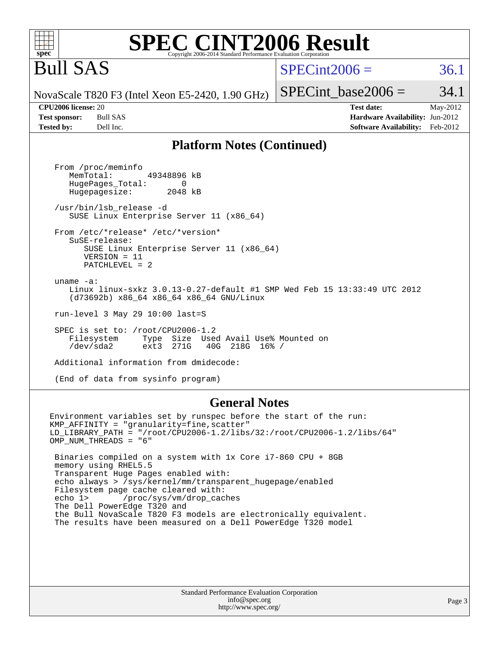#### **spec [SPEC CINT2006 Result](http://www.spec.org/auto/cpu2006/Docs/result-fields.html#SPECCINT2006Result)** Copyright 2006-2014 Standard Performance Evaluation Corpo

# Bull SAS

### $SPECint2006 = 36.1$  $SPECint2006 = 36.1$

NovaScale T820 F3 (Intel Xeon E5-2420, 1.90 GHz)

**[CPU2006 license:](http://www.spec.org/auto/cpu2006/Docs/result-fields.html#CPU2006license)** 20 **[Test date:](http://www.spec.org/auto/cpu2006/Docs/result-fields.html#Testdate)** May-2012 **[Test sponsor:](http://www.spec.org/auto/cpu2006/Docs/result-fields.html#Testsponsor)** Bull SAS **[Hardware Availability:](http://www.spec.org/auto/cpu2006/Docs/result-fields.html#HardwareAvailability)** Jun-2012 **[Tested by:](http://www.spec.org/auto/cpu2006/Docs/result-fields.html#Testedby)** Dell Inc. **[Software Availability:](http://www.spec.org/auto/cpu2006/Docs/result-fields.html#SoftwareAvailability)** Feb-2012

SPECint base2006 =  $34.1$ 

#### **[Platform Notes \(Continued\)](http://www.spec.org/auto/cpu2006/Docs/result-fields.html#PlatformNotes)**

 From /proc/meminfo MemTotal: 49348896 kB HugePages\_Total: 0<br>Hugepagesize: 2048 kB Hugepagesize: /usr/bin/lsb\_release -d SUSE Linux Enterprise Server 11 (x86\_64) From /etc/\*release\* /etc/\*version\* SuSE-release: SUSE Linux Enterprise Server 11 (x86\_64) VERSION = 11 PATCHLEVEL = 2 uname -a: Linux linux-sxkz 3.0.13-0.27-default #1 SMP Wed Feb 15 13:33:49 UTC 2012 (d73692b) x86\_64 x86\_64 x86\_64 GNU/Linux run-level 3 May 29 10:00 last=S SPEC is set to: /root/CPU2006-1.2<br>Filesystem Type Size Use Type Size Used Avail Use% Mounted on<br>ext3 271G 40G 218G 16% / /dev/sda2 ext3 271G 40G 218G 16% / Additional information from dmidecode:

(End of data from sysinfo program)

#### **[General Notes](http://www.spec.org/auto/cpu2006/Docs/result-fields.html#GeneralNotes)**

Environment variables set by runspec before the start of the run: KMP\_AFFINITY = "granularity=fine,scatter" LD\_LIBRARY\_PATH = "/root/CPU2006-1.2/libs/32:/root/CPU2006-1.2/libs/64" OMP\_NUM\_THREADS = "6" Binaries compiled on a system with 1x Core i7-860 CPU + 8GB memory using RHEL5.5 Transparent Huge Pages enabled with: echo always > /sys/kernel/mm/transparent\_hugepage/enabled Filesystem page cache cleared with: echo 1> /proc/sys/vm/drop\_caches The Dell PowerEdge T320 and the Bull NovaScale T820 F3 models are electronically equivalent. The results have been measured on a Dell PowerEdge T320 model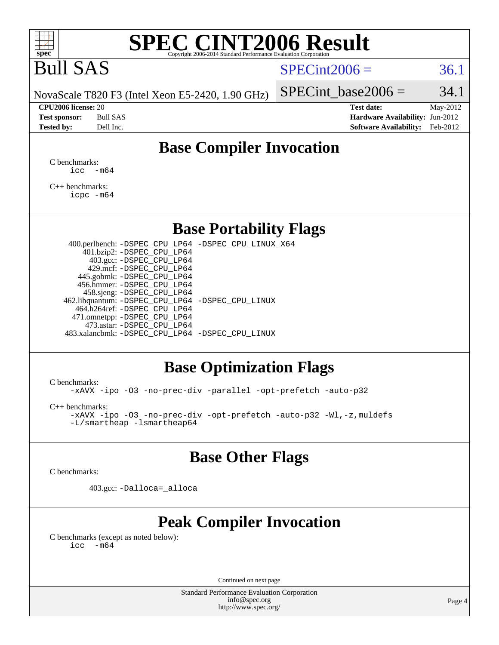

# Bull SAS

#### $SPECint2006 = 36.1$  $SPECint2006 = 36.1$

NovaScale T820 F3 (Intel Xeon E5-2420, 1.90 GHz)

**[Tested by:](http://www.spec.org/auto/cpu2006/Docs/result-fields.html#Testedby)** Dell Inc. **[Software Availability:](http://www.spec.org/auto/cpu2006/Docs/result-fields.html#SoftwareAvailability)** Feb-2012

**[CPU2006 license:](http://www.spec.org/auto/cpu2006/Docs/result-fields.html#CPU2006license)** 20 **[Test date:](http://www.spec.org/auto/cpu2006/Docs/result-fields.html#Testdate)** May-2012 **[Test sponsor:](http://www.spec.org/auto/cpu2006/Docs/result-fields.html#Testsponsor)** Bull SAS **[Hardware Availability:](http://www.spec.org/auto/cpu2006/Docs/result-fields.html#HardwareAvailability)** Jun-2012

SPECint base2006 =  $34.1$ 

## **[Base Compiler Invocation](http://www.spec.org/auto/cpu2006/Docs/result-fields.html#BaseCompilerInvocation)**

[C benchmarks](http://www.spec.org/auto/cpu2006/Docs/result-fields.html#Cbenchmarks):  $\text{icc}$   $-\text{m64}$ 

[C++ benchmarks:](http://www.spec.org/auto/cpu2006/Docs/result-fields.html#CXXbenchmarks) [icpc -m64](http://www.spec.org/cpu2006/results/res2012q3/cpu2006-20120703-23436.flags.html#user_CXXbase_intel_icpc_64bit_fc66a5337ce925472a5c54ad6a0de310)

#### **[Base Portability Flags](http://www.spec.org/auto/cpu2006/Docs/result-fields.html#BasePortabilityFlags)**

 400.perlbench: [-DSPEC\\_CPU\\_LP64](http://www.spec.org/cpu2006/results/res2012q3/cpu2006-20120703-23436.flags.html#b400.perlbench_basePORTABILITY_DSPEC_CPU_LP64) [-DSPEC\\_CPU\\_LINUX\\_X64](http://www.spec.org/cpu2006/results/res2012q3/cpu2006-20120703-23436.flags.html#b400.perlbench_baseCPORTABILITY_DSPEC_CPU_LINUX_X64) 401.bzip2: [-DSPEC\\_CPU\\_LP64](http://www.spec.org/cpu2006/results/res2012q3/cpu2006-20120703-23436.flags.html#suite_basePORTABILITY401_bzip2_DSPEC_CPU_LP64) 403.gcc: [-DSPEC\\_CPU\\_LP64](http://www.spec.org/cpu2006/results/res2012q3/cpu2006-20120703-23436.flags.html#suite_basePORTABILITY403_gcc_DSPEC_CPU_LP64) 429.mcf: [-DSPEC\\_CPU\\_LP64](http://www.spec.org/cpu2006/results/res2012q3/cpu2006-20120703-23436.flags.html#suite_basePORTABILITY429_mcf_DSPEC_CPU_LP64) 445.gobmk: [-DSPEC\\_CPU\\_LP64](http://www.spec.org/cpu2006/results/res2012q3/cpu2006-20120703-23436.flags.html#suite_basePORTABILITY445_gobmk_DSPEC_CPU_LP64) 456.hmmer: [-DSPEC\\_CPU\\_LP64](http://www.spec.org/cpu2006/results/res2012q3/cpu2006-20120703-23436.flags.html#suite_basePORTABILITY456_hmmer_DSPEC_CPU_LP64) 458.sjeng: [-DSPEC\\_CPU\\_LP64](http://www.spec.org/cpu2006/results/res2012q3/cpu2006-20120703-23436.flags.html#suite_basePORTABILITY458_sjeng_DSPEC_CPU_LP64) 462.libquantum: [-DSPEC\\_CPU\\_LP64](http://www.spec.org/cpu2006/results/res2012q3/cpu2006-20120703-23436.flags.html#suite_basePORTABILITY462_libquantum_DSPEC_CPU_LP64) [-DSPEC\\_CPU\\_LINUX](http://www.spec.org/cpu2006/results/res2012q3/cpu2006-20120703-23436.flags.html#b462.libquantum_baseCPORTABILITY_DSPEC_CPU_LINUX) 464.h264ref: [-DSPEC\\_CPU\\_LP64](http://www.spec.org/cpu2006/results/res2012q3/cpu2006-20120703-23436.flags.html#suite_basePORTABILITY464_h264ref_DSPEC_CPU_LP64) 471.omnetpp: [-DSPEC\\_CPU\\_LP64](http://www.spec.org/cpu2006/results/res2012q3/cpu2006-20120703-23436.flags.html#suite_basePORTABILITY471_omnetpp_DSPEC_CPU_LP64) 473.astar: [-DSPEC\\_CPU\\_LP64](http://www.spec.org/cpu2006/results/res2012q3/cpu2006-20120703-23436.flags.html#suite_basePORTABILITY473_astar_DSPEC_CPU_LP64) 483.xalancbmk: [-DSPEC\\_CPU\\_LP64](http://www.spec.org/cpu2006/results/res2012q3/cpu2006-20120703-23436.flags.html#suite_basePORTABILITY483_xalancbmk_DSPEC_CPU_LP64) [-DSPEC\\_CPU\\_LINUX](http://www.spec.org/cpu2006/results/res2012q3/cpu2006-20120703-23436.flags.html#b483.xalancbmk_baseCXXPORTABILITY_DSPEC_CPU_LINUX)

### **[Base Optimization Flags](http://www.spec.org/auto/cpu2006/Docs/result-fields.html#BaseOptimizationFlags)**

[C benchmarks](http://www.spec.org/auto/cpu2006/Docs/result-fields.html#Cbenchmarks):

[-xAVX](http://www.spec.org/cpu2006/results/res2012q3/cpu2006-20120703-23436.flags.html#user_CCbase_f-xAVX) [-ipo](http://www.spec.org/cpu2006/results/res2012q3/cpu2006-20120703-23436.flags.html#user_CCbase_f-ipo) [-O3](http://www.spec.org/cpu2006/results/res2012q3/cpu2006-20120703-23436.flags.html#user_CCbase_f-O3) [-no-prec-div](http://www.spec.org/cpu2006/results/res2012q3/cpu2006-20120703-23436.flags.html#user_CCbase_f-no-prec-div) [-parallel](http://www.spec.org/cpu2006/results/res2012q3/cpu2006-20120703-23436.flags.html#user_CCbase_f-parallel) [-opt-prefetch](http://www.spec.org/cpu2006/results/res2012q3/cpu2006-20120703-23436.flags.html#user_CCbase_f-opt-prefetch) [-auto-p32](http://www.spec.org/cpu2006/results/res2012q3/cpu2006-20120703-23436.flags.html#user_CCbase_f-auto-p32)

[C++ benchmarks:](http://www.spec.org/auto/cpu2006/Docs/result-fields.html#CXXbenchmarks)

[-xAVX](http://www.spec.org/cpu2006/results/res2012q3/cpu2006-20120703-23436.flags.html#user_CXXbase_f-xAVX) [-ipo](http://www.spec.org/cpu2006/results/res2012q3/cpu2006-20120703-23436.flags.html#user_CXXbase_f-ipo) [-O3](http://www.spec.org/cpu2006/results/res2012q3/cpu2006-20120703-23436.flags.html#user_CXXbase_f-O3) [-no-prec-div](http://www.spec.org/cpu2006/results/res2012q3/cpu2006-20120703-23436.flags.html#user_CXXbase_f-no-prec-div) [-opt-prefetch](http://www.spec.org/cpu2006/results/res2012q3/cpu2006-20120703-23436.flags.html#user_CXXbase_f-opt-prefetch) [-auto-p32](http://www.spec.org/cpu2006/results/res2012q3/cpu2006-20120703-23436.flags.html#user_CXXbase_f-auto-p32) [-Wl,-z,muldefs](http://www.spec.org/cpu2006/results/res2012q3/cpu2006-20120703-23436.flags.html#user_CXXbase_link_force_multiple1_74079c344b956b9658436fd1b6dd3a8a) [-L/smartheap -lsmartheap64](http://www.spec.org/cpu2006/results/res2012q3/cpu2006-20120703-23436.flags.html#user_CXXbase_SmartHeap64_5e654037dadeae1fe403ab4b4466e60b)

### **[Base Other Flags](http://www.spec.org/auto/cpu2006/Docs/result-fields.html#BaseOtherFlags)**

[C benchmarks](http://www.spec.org/auto/cpu2006/Docs/result-fields.html#Cbenchmarks):

403.gcc: [-Dalloca=\\_alloca](http://www.spec.org/cpu2006/results/res2012q3/cpu2006-20120703-23436.flags.html#b403.gcc_baseEXTRA_CFLAGS_Dalloca_be3056838c12de2578596ca5467af7f3)

## **[Peak Compiler Invocation](http://www.spec.org/auto/cpu2006/Docs/result-fields.html#PeakCompilerInvocation)**

[C benchmarks \(except as noted below\)](http://www.spec.org/auto/cpu2006/Docs/result-fields.html#Cbenchmarksexceptasnotedbelow):  $\text{icc}$  -m64

Continued on next page

Standard Performance Evaluation Corporation [info@spec.org](mailto:info@spec.org) <http://www.spec.org/>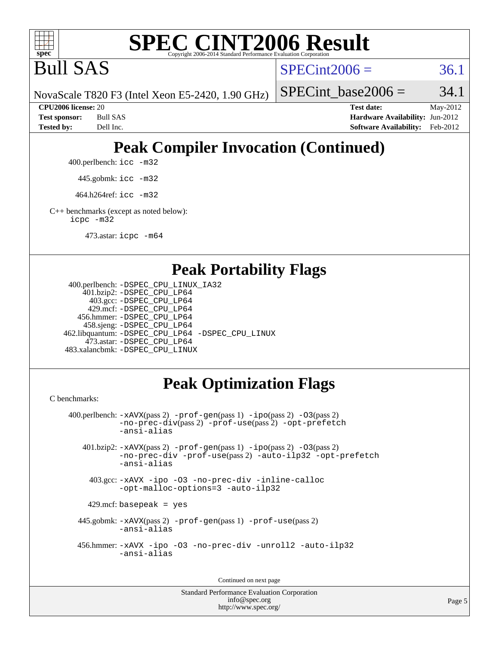

Bull SAS

 $SPECint2006 = 36.1$  $SPECint2006 = 36.1$ 

NovaScale T820 F3 (Intel Xeon E5-2420, 1.90 GHz)

SPECint base2006 =  $34.1$ 

**[CPU2006 license:](http://www.spec.org/auto/cpu2006/Docs/result-fields.html#CPU2006license)** 20 **[Test date:](http://www.spec.org/auto/cpu2006/Docs/result-fields.html#Testdate)** May-2012 **[Test sponsor:](http://www.spec.org/auto/cpu2006/Docs/result-fields.html#Testsponsor)** Bull SAS **[Hardware Availability:](http://www.spec.org/auto/cpu2006/Docs/result-fields.html#HardwareAvailability)** Jun-2012 **[Tested by:](http://www.spec.org/auto/cpu2006/Docs/result-fields.html#Testedby)** Dell Inc. **[Software Availability:](http://www.spec.org/auto/cpu2006/Docs/result-fields.html#SoftwareAvailability)** Feb-2012

# **[Peak Compiler Invocation \(Continued\)](http://www.spec.org/auto/cpu2006/Docs/result-fields.html#PeakCompilerInvocation)**

400.perlbench: [icc -m32](http://www.spec.org/cpu2006/results/res2012q3/cpu2006-20120703-23436.flags.html#user_peakCCLD400_perlbench_intel_icc_a6a621f8d50482236b970c6ac5f55f93)

445.gobmk: [icc -m32](http://www.spec.org/cpu2006/results/res2012q3/cpu2006-20120703-23436.flags.html#user_peakCCLD445_gobmk_intel_icc_a6a621f8d50482236b970c6ac5f55f93)

464.h264ref: [icc -m32](http://www.spec.org/cpu2006/results/res2012q3/cpu2006-20120703-23436.flags.html#user_peakCCLD464_h264ref_intel_icc_a6a621f8d50482236b970c6ac5f55f93)

[C++ benchmarks \(except as noted below\):](http://www.spec.org/auto/cpu2006/Docs/result-fields.html#CXXbenchmarksexceptasnotedbelow) [icpc -m32](http://www.spec.org/cpu2006/results/res2012q3/cpu2006-20120703-23436.flags.html#user_CXXpeak_intel_icpc_4e5a5ef1a53fd332b3c49e69c3330699)

473.astar: [icpc -m64](http://www.spec.org/cpu2006/results/res2012q3/cpu2006-20120703-23436.flags.html#user_peakCXXLD473_astar_intel_icpc_64bit_fc66a5337ce925472a5c54ad6a0de310)

#### **[Peak Portability Flags](http://www.spec.org/auto/cpu2006/Docs/result-fields.html#PeakPortabilityFlags)**

```
 400.perlbench: -DSPEC_CPU_LINUX_IA32
    401.bzip2: -DSPEC_CPU_LP64
      403.gcc: -DSPEC_CPU_LP64
     429.mcf: -DSPEC_CPU_LP64
   456.hmmer: -DSPEC_CPU_LP64
    458.sjeng: -DSPEC_CPU_LP64
462.libquantum: -DSPEC_CPU_LP64 -DSPEC_CPU_LINUX
     473.astar: -DSPEC_CPU_LP64
483.xalancbmk: -DSPEC_CPU_LINUX
```
## **[Peak Optimization Flags](http://www.spec.org/auto/cpu2006/Docs/result-fields.html#PeakOptimizationFlags)**

[C benchmarks](http://www.spec.org/auto/cpu2006/Docs/result-fields.html#Cbenchmarks):

```
 400.perlbench: -xAVX(pass 2) -prof-gen(pass 1) -ipo(pass 2) -O3(pass 2)
           -no-prec-div(pass 2) -prof-use(pass 2) -opt-prefetch
          -ansi-alias
   401.bzip2: -xAVX(pass 2) -prof-gen(pass 1) -ipo(pass 2) -O3(pass 2)
           -no-prec-div -prof-use(pass 2) -auto-ilp32 -opt-prefetch
           -ansi-alias
    403.gcc: -xAVX -ipo -O3 -no-prec-div -inline-calloc
           -opt-malloc-options=3 -auto-ilp32
   429.mcf: basepeak = yes
  445.gobmk: -xAVX(pass 2) -prof-gen(pass 1) -prof-use(pass 2)
           -ansi-alias
  456.hmmer: -xAVX -ipo -O3 -no-prec-div -unroll2 -auto-ilp32
           -ansi-alias
```
Continued on next page

```
Standard Performance Evaluation Corporation
             info@spec.org
          http://www.spec.org/
```